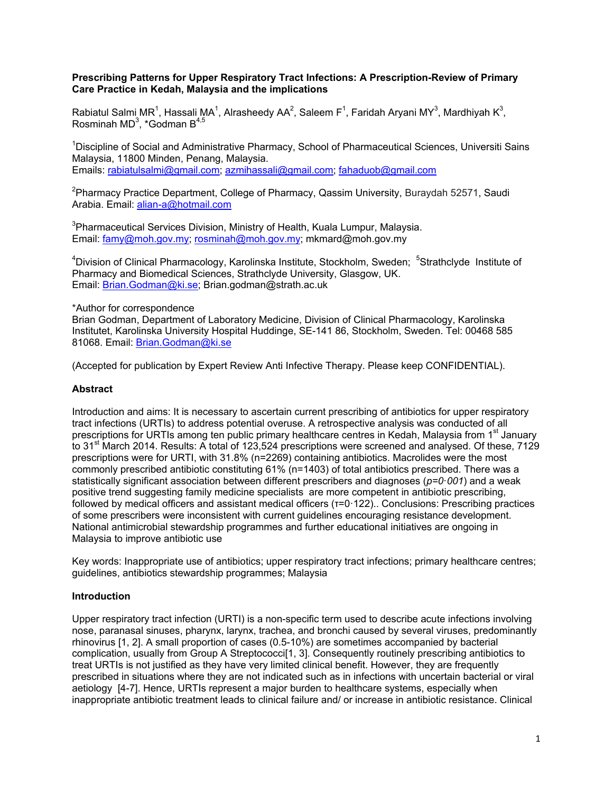#### **Prescribing Patterns for Upper Respiratory Tract Infections: A Prescription-Review of Primary Care Practice in Kedah, Malaysia and the implications**

Rabiatul Salmi MR<sup>1</sup>, Hassali MA<sup>1</sup>, Alrasheedy AA<sup>2</sup>, Saleem F<sup>1</sup>, Faridah Aryani MY<sup>3</sup>, Mardhiyah K<sup>3</sup>, Rosminah MD $^3$ , \*Godman B $^{4,5}$ 

<sup>1</sup>Discipline of Social and Administrative Pharmacy, School of Pharmaceutical Sciences, Universiti Sains Malaysia, 11800 Minden, Penang, Malaysia. Emails: [rabiatulsalmi@gmail.com;](mailto:rabiatulsalmi@gmail.com) [azmihassali@gmail.com;](mailto:azmihassali@gmail.com) [fahaduob@gmail.com](mailto:fahaduob@gmail.com)

<sup>2</sup>Pharmacy Practice Department, College of Pharmacy, Qassim University, Buraydah 52571, Saudi Arabia. Email: [alian-a@hotmail.com](mailto:alian-a@hotmail.com)

<sup>3</sup>Pharmaceutical Services Division, Ministry of Health, Kuala Lumpur, Malaysia. Email: [famy@moh.gov.my;](mailto:famy@moh.gov.my) [rosminah@moh.gov.my;](mailto:rosminah@moh.gov.my) mkmard@moh.gov.my

<sup>4</sup>Division of Clinical Pharmacology, Karolinska Institute, Stockholm, Sweden; <sup>5</sup>Strathclyde Institute of Pharmacy and Biomedical Sciences, Strathclyde University, Glasgow, UK. Email: [Brian.Godman@ki.se;](mailto:Brian.Godman@ki.se) Brian.godman@strath.ac.uk

\*Author for correspondence

Brian Godman, Department of Laboratory Medicine, Division of Clinical Pharmacology, Karolinska Institutet, Karolinska University Hospital Huddinge, SE-141 86, Stockholm, Sweden. Tel: 00468 585 81068. Email: [Brian.Godman@ki.se](mailto:Brian.Godman@ki.se)

(Accepted for publication by Expert Review Anti Infective Therapy. Please keep CONFIDENTIAL).

#### **Abstract**

Introduction and aims: It is necessary to ascertain current prescribing of antibiotics for upper respiratory tract infections (URTIs) to address potential overuse. A retrospective analysis was conducted of all prescriptions for URTIs among ten public primary healthcare centres in Kedah, Malaysia from 1<sup>st</sup> January to 31<sup>st</sup> March 2014. Results: A total of 123,524 prescriptions were screened and analysed. Of these, 7129 prescriptions were for URTI, with 31.8% (n=2269) containing antibiotics. Macrolides were the most commonly prescribed antibiotic constituting 61% (n=1403) of total antibiotics prescribed. There was a statistically significant association between different prescribers and diagnoses (*p=0*·*001*) and a weak positive trend suggesting family medicine specialists are more competent in antibiotic prescribing, followed by medical officers and assistant medical officers (τ=0·122).. Conclusions: Prescribing practices of some prescribers were inconsistent with current guidelines encouraging resistance development. National antimicrobial stewardship programmes and further educational initiatives are ongoing in Malaysia to improve antibiotic use

Key words: Inappropriate use of antibiotics; upper respiratory tract infections; primary healthcare centres; guidelines, antibiotics stewardship programmes; Malaysia

#### **Introduction**

Upper respiratory tract infection (URTI) is a non-specific term used to describe acute infections involving nose, paranasal sinuses, pharynx, larynx, trachea, and bronchi caused by several viruses, predominantly rhinovirus [\[1,](#page-13-0) [2\]](#page-13-1). A small proportion of cases (0.5-10%) are sometimes accompanied by bacterial complication, usually from Group A Streptococci<sup>[1</sup>, [3\]](#page-13-2). Consequently routinely prescribing antibiotics to treat URTIs is not justified as they have very limited clinical benefit. However, they are frequently prescribed in situations where they are not indicated such as in infections with uncertain bacterial or viral aetiology [\[4-7\]](#page-13-3). Hence, URTIs represent a major burden to healthcare systems, especially when inappropriate antibiotic treatment leads to clinical failure and/ or increase in antibiotic resistance. Clinical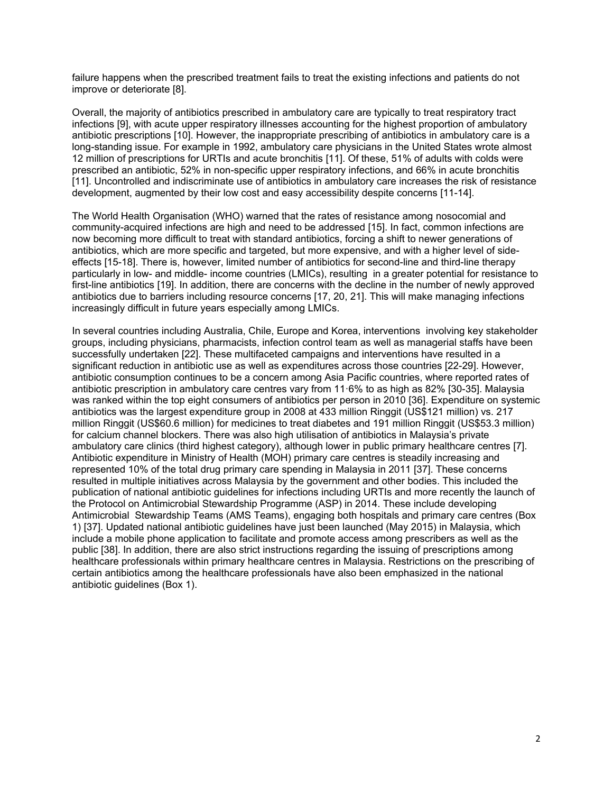failure happens when the prescribed treatment fails to treat the existing infections and patients do not improve or deteriorate [\[8\]](#page-13-4).

Overall, the majority of antibiotics prescribed in ambulatory care are typically to treat respiratory tract infections [\[9\]](#page-13-5), with acute upper respiratory illnesses accounting for the highest proportion of ambulatory antibiotic prescriptions [\[10\]](#page-13-6). However, the inappropriate prescribing of antibiotics in ambulatory care is a long-standing issue. For example in 1992, ambulatory care physicians in the United States wrote almost 12 million of prescriptions for URTIs and acute bronchitis [\[11\]](#page-13-7). Of these, 51% of adults with colds were prescribed an antibiotic, 52% in non-specific upper respiratory infections, and 66% in acute bronchitis [\[11\]](#page-13-7). Uncontrolled and indiscriminate use of antibiotics in ambulatory care increases the risk of resistance development, augmented by their low cost and easy accessibility despite concerns [\[11-14\]](#page-13-7).

The World Health Organisation (WHO) warned that the rates of resistance among nosocomial and community-acquired infections are high and need to be addressed [\[15\]](#page-13-8). In fact, common infections are now becoming more difficult to treat with standard antibiotics, forcing a shift to newer generations of antibiotics, which are more specific and targeted, but more expensive, and with a higher level of sideeffects [\[15-18\]](#page-13-8). There is, however, limited number of antibiotics for second-line and third-line therapy particularly in low- and middle- income countries (LMICs), resulting in a greater potential for resistance to first-line antibiotics [\[19\]](#page-13-9). In addition, there are concerns with the decline in the number of newly approved antibiotics due to barriers including resource concerns [\[17,](#page-13-10) [20,](#page-13-11) [21\]](#page-14-0). This will make managing infections increasingly difficult in future years especially among LMICs.

In several countries including Australia, Chile, Europe and Korea, interventions involving key stakeholder groups, including physicians, pharmacists, infection control team as well as managerial staffs have been successfully undertaken [\[22\]](#page-14-1). These multifaceted campaigns and interventions have resulted in a significant reduction in antibiotic use as well as expenditures across those countries [\[22-29\]](#page-14-1). However, antibiotic consumption continues to be a concern among Asia Pacific countries, where reported rates of antibiotic prescription in ambulatory care centres vary from 11·6% to as high as 82% [\[30-35\]](#page-14-2). Malaysia was ranked within the top eight consumers of antibiotics per person in 2010 [\[36\]](#page-14-3). Expenditure on systemic antibiotics was the largest expenditure group in 2008 at 433 million Ringgit (US\$121 million) vs. 217 million Ringgit (US\$60.6 million) for medicines to treat diabetes and 191 million Ringgit (US\$53.3 million) for calcium channel blockers. There was also high utilisation of antibiotics in Malaysia's private ambulatory care clinics (third highest category), although lower in public primary healthcare centres [\[7\]](#page-13-12). Antibiotic expenditure in Ministry of Health (MOH) primary care centres is steadily increasing and represented 10% of the total drug primary care spending in Malaysia in 2011 [\[37\]](#page-14-4). These concerns resulted in multiple initiatives across Malaysia by the government and other bodies. This included the publication of national antibiotic guidelines for infections including URTIs and more recently the launch of the Protocol on Antimicrobial Stewardship Programme (ASP) in 2014. These include developing Antimicrobial Stewardship Teams (AMS Teams), engaging both hospitals and primary care centres (Box 1) [\[37\]](#page-14-4). Updated national antibiotic guidelines have just been launched (May 2015) in Malaysia, which include a mobile phone application to facilitate and promote access among prescribers as well as the public [\[38\]](#page-14-5). In addition, there are also strict instructions regarding the issuing of prescriptions among healthcare professionals within primary healthcare centres in Malaysia. Restrictions on the prescribing of certain antibiotics among the healthcare professionals have also been emphasized in the national antibiotic guidelines (Box 1).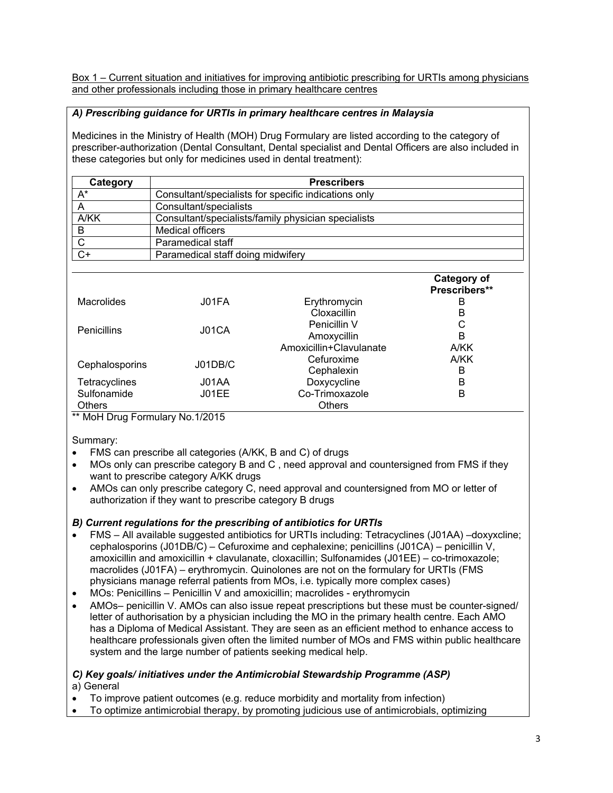Box 1 – Current situation and initiatives for improving antibiotic prescribing for URTIs among physicians and other professionals including those in primary healthcare centres

# *A) Prescribing guidance for URTIs in primary healthcare centres in Malaysia*

Medicines in the Ministry of Health (MOH) Drug Formulary are listed according to the category of prescriber-authorization (Dental Consultant, Dental specialist and Dental Officers are also included in these categories but only for medicines used in dental treatment):

| Category     | <b>Prescribers</b>                                   |  |  |  |  |  |  |
|--------------|------------------------------------------------------|--|--|--|--|--|--|
| A*           | Consultant/specialists for specific indications only |  |  |  |  |  |  |
|              | Consultant/specialists                               |  |  |  |  |  |  |
| A/KK         | Consultant/specialists/family physician specialists  |  |  |  |  |  |  |
| B            | Medical officers                                     |  |  |  |  |  |  |
| $\mathsf{C}$ | Paramedical staff                                    |  |  |  |  |  |  |
| $C+$         | Paramedical staff doing midwifery                    |  |  |  |  |  |  |

|                    |         |                         | <b>Category of</b><br>Prescribers** |
|--------------------|---------|-------------------------|-------------------------------------|
| <b>Macrolides</b>  | J01FA   | Erythromycin            | в                                   |
|                    |         | <b>Cloxacillin</b>      | в                                   |
| <b>Penicillins</b> | J01CA   | Penicillin V            | C                                   |
|                    |         | Amoxycillin             | в                                   |
|                    |         | Amoxicillin+Clavulanate | A/KK                                |
|                    | J01DB/C | Cefuroxime              | A/KK                                |
| Cephalosporins     |         | Cephalexin              | B                                   |
| Tetracyclines      | J01AA   | Doxycycline             | B                                   |
| Sulfonamide        | J01EE   | Co-Trimoxazole          | в                                   |
| <b>Others</b>      |         | <b>Others</b>           |                                     |

\*\* MoH Drug Formulary No.1/2015

Summary:

- FMS can prescribe all categories (A/KK, B and C) of drugs
- MOs only can prescribe category B and C , need approval and countersigned from FMS if they want to prescribe category A/KK drugs
- AMOs can only prescribe category C, need approval and countersigned from MO or letter of authorization if they want to prescribe category B drugs

# *B) Current regulations for the prescribing of antibiotics for URTIs*

- FMS All available suggested antibiotics for URTIs including: Tetracyclines (J01AA) –doxyxcline; cephalosporins (J01DB/C) – Cefuroxime and cephalexine; penicillins (J01CA) – penicillin V, amoxicillin and amoxicillin + clavulanate, cloxacillin; Sulfonamides (J01EE) – co-trimoxazole; macrolides (J01FA) – erythromycin. Quinolones are not on the formulary for URTIs (FMS physicians manage referral patients from MOs, i.e. typically more complex cases)
- MOs: Penicillins Penicillin V and amoxicillin; macrolides erythromycin
- AMOs– penicillin V. AMOs can also issue repeat prescriptions but these must be counter-signed/ letter of authorisation by a physician including the MO in the primary health centre. Each AMO has a Diploma of Medical Assistant. They are seen as an efficient method to enhance access to healthcare professionals given often the limited number of MOs and FMS within public healthcare system and the large number of patients seeking medical help.

# *C) Key goals/ initiatives under the Antimicrobial Stewardship Programme (ASP)*

a) General

- To improve patient outcomes (e.g. reduce morbidity and mortality from infection)
- To optimize antimicrobial therapy, by promoting judicious use of antimicrobials, optimizing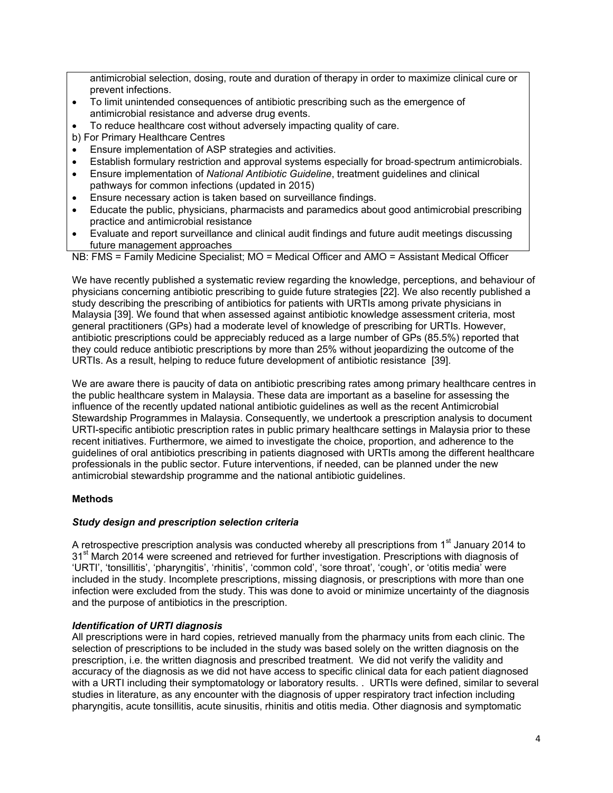antimicrobial selection, dosing, route and duration of therapy in order to maximize clinical cure or prevent infections.

- To limit unintended consequences of antibiotic prescribing such as the emergence of antimicrobial resistance and adverse drug events.
- To reduce healthcare cost without adversely impacting quality of care.
- b) For Primary Healthcare Centres
- Ensure implementation of ASP strategies and activities.
- Establish formulary restriction and approval systems especially for broad‐spectrum antimicrobials.
- Ensure implementation of *National Antibiotic Guideline*, treatment guidelines and clinical pathways for common infections (updated in 2015)
- Ensure necessary action is taken based on surveillance findings.
- Educate the public, physicians, pharmacists and paramedics about good antimicrobial prescribing practice and antimicrobial resistance
- Evaluate and report surveillance and clinical audit findings and future audit meetings discussing future management approaches

NB: FMS = Family Medicine Specialist; MO = Medical Officer and AMO = Assistant Medical Officer

We have recently published a systematic review regarding the knowledge, perceptions, and behaviour of physicians concerning antibiotic prescribing to guide future strategies [\[22\]](#page-14-1). We also recently published a study describing the prescribing of antibiotics for patients with URTIs among private physicians in Malaysia [\[39\]](#page-14-6). We found that when assessed against antibiotic knowledge assessment criteria, most general practitioners (GPs) had a moderate level of knowledge of prescribing for URTIs. However, antibiotic prescriptions could be appreciably reduced as a large number of GPs (85.5%) reported that they could reduce antibiotic prescriptions by more than 25% without jeopardizing the outcome of the URTIs. As a result, helping to reduce future development of antibiotic resistance [\[39\]](#page-14-6).

We are aware there is paucity of data on antibiotic prescribing rates among primary healthcare centres in the public healthcare system in Malaysia. These data are important as a baseline for assessing the influence of the recently updated national antibiotic guidelines as well as the recent Antimicrobial Stewardship Programmes in Malaysia. Consequently, we undertook a prescription analysis to document URTI-specific antibiotic prescription rates in public primary healthcare settings in Malaysia prior to these recent initiatives. Furthermore, we aimed to investigate the choice, proportion, and adherence to the guidelines of oral antibiotics prescribing in patients diagnosed with URTIs among the different healthcare professionals in the public sector. Future interventions, if needed, can be planned under the new antimicrobial stewardship programme and the national antibiotic guidelines.

## **Methods**

#### *Study design and prescription selection criteria*

A retrospective prescription analysis was conducted whereby all prescriptions from 1<sup>st</sup> January 2014 to 31<sup>st</sup> March 2014 were screened and retrieved for further investigation. Prescriptions with diagnosis of 'URTI', 'tonsillitis', 'pharyngitis', 'rhinitis', 'common cold', 'sore throat', 'cough', or 'otitis media' were included in the study. Incomplete prescriptions, missing diagnosis, or prescriptions with more than one infection were excluded from the study. This was done to avoid or minimize uncertainty of the diagnosis and the purpose of antibiotics in the prescription.

#### *Identification of URTI diagnosis*

All prescriptions were in hard copies, retrieved manually from the pharmacy units from each clinic. The selection of prescriptions to be included in the study was based solely on the written diagnosis on the prescription, i.e. the written diagnosis and prescribed treatment. We did not verify the validity and accuracy of the diagnosis as we did not have access to specific clinical data for each patient diagnosed with a URTI including their symptomatology or laboratory results. . URTIs were defined, similar to several studies in literature, as any encounter with the diagnosis of upper respiratory tract infection including pharyngitis, acute tonsillitis, acute sinusitis, rhinitis and otitis media. Other diagnosis and symptomatic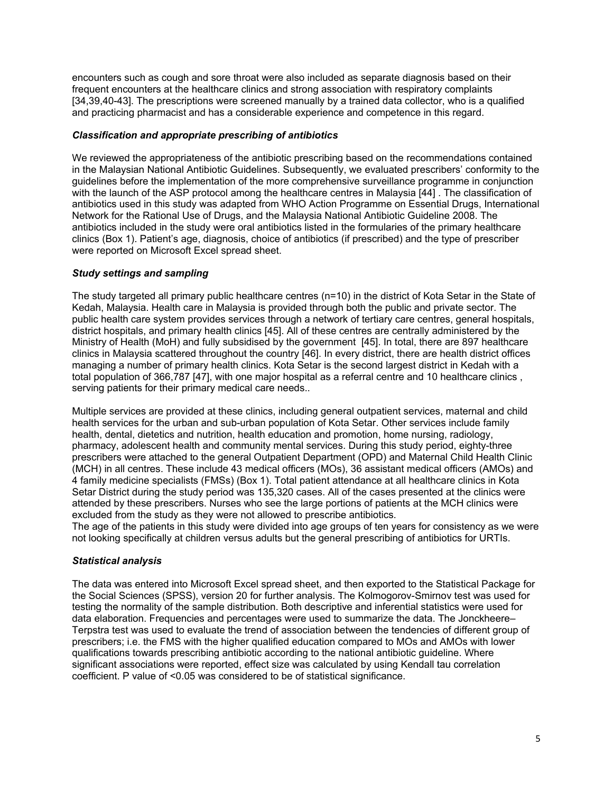encounters such as cough and sore throat were also included as separate diagnosis based on their frequent encounters at the healthcare clinics and strong association with respiratory complaints [34,39,40-43]. The prescriptions were screened manually by a trained data collector, who is a qualified and practicing pharmacist and has a considerable experience and competence in this regard.

#### *Classification and appropriate prescribing of antibiotics*

We reviewed the appropriateness of the antibiotic prescribing based on the recommendations contained in the Malaysian National Antibiotic Guidelines. Subsequently, we evaluated prescribers' conformity to the guidelines before the implementation of the more comprehensive surveillance programme in conjunction with the launch of the ASP protocol among the healthcare centres in Malaysia [44] . The classification of antibiotics used in this study was adapted from WHO Action Programme on Essential Drugs, International Network for the Rational Use of Drugs, and the Malaysia National Antibiotic Guideline 2008. The antibiotics included in the study were oral antibiotics listed in the formularies of the primary healthcare clinics (Box 1). Patient's age, diagnosis, choice of antibiotics (if prescribed) and the type of prescriber were reported on Microsoft Excel spread sheet.

## *Study settings and sampling*

The study targeted all primary public healthcare centres (n=10) in the district of Kota Setar in the State of Kedah, Malaysia. Health care in Malaysia is provided through both the public and private sector. The public health care system provides services through a network of tertiary care centres, general hospitals, district hospitals, and primary health clinics [45]. All of these centres are centrally administered by the Ministry of Health (MoH) and fully subsidised by the government [45]. In total, there are 897 healthcare clinics in Malaysia scattered throughout the country [46]. In every district, there are health district offices managing a number of primary health clinics. Kota Setar is the second largest district in Kedah with a total population of 366,787 [47], with one major hospital as a referral centre and 10 healthcare clinics , serving patients for their primary medical care needs..

Multiple services are provided at these clinics, including general outpatient services, maternal and child health services for the urban and sub-urban population of Kota Setar. Other services include family health, dental, dietetics and nutrition, health education and promotion, home nursing, radiology, pharmacy, adolescent health and community mental services. During this study period, eighty-three prescribers were attached to the general Outpatient Department (OPD) and Maternal Child Health Clinic (MCH) in all centres. These include 43 medical officers (MOs), 36 assistant medical officers (AMOs) and 4 family medicine specialists (FMSs) (Box 1). Total patient attendance at all healthcare clinics in Kota Setar District during the study period was 135,320 cases. All of the cases presented at the clinics were attended by these prescribers. Nurses who see the large portions of patients at the MCH clinics were excluded from the study as they were not allowed to prescribe antibiotics.

The age of the patients in this study were divided into age groups of ten years for consistency as we were not looking specifically at children versus adults but the general prescribing of antibiotics for URTIs.

## *Statistical analysis*

The data was entered into Microsoft Excel spread sheet, and then exported to the Statistical Package for the Social Sciences (SPSS), version 20 for further analysis. The Kolmogorov-Smirnov test was used for testing the normality of the sample distribution. Both descriptive and inferential statistics were used for data elaboration. Frequencies and percentages were used to summarize the data. The Jonckheere– Terpstra test was used to evaluate the trend of association between the tendencies of different group of prescribers; i.e. the FMS with the higher qualified education compared to MOs and AMOs with lower qualifications towards prescribing antibiotic according to the national antibiotic guideline. Where significant associations were reported, effect size was calculated by using Kendall tau correlation coefficient. P value of <0.05 was considered to be of statistical significance.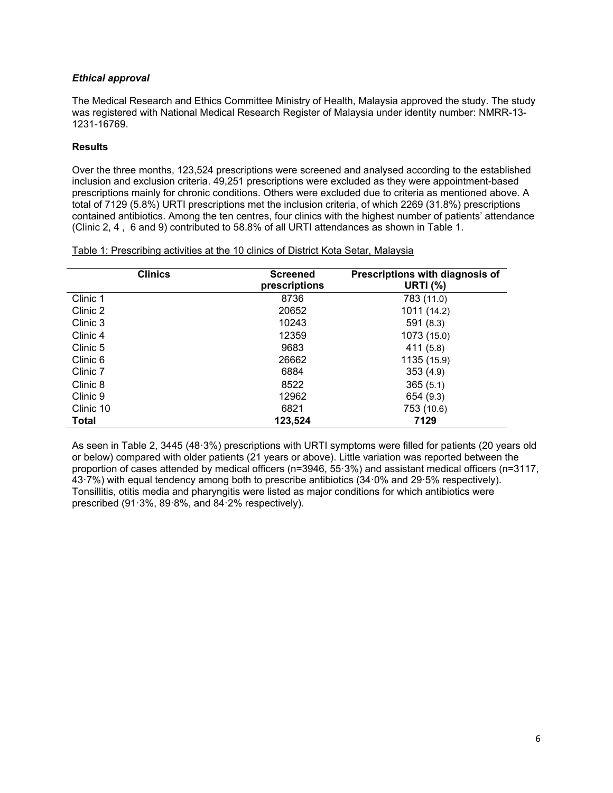## *Ethical approval*

The Medical Research and Ethics Committee Ministry of Health, Malaysia approved the study. The study was registered with National Medical Research Register of Malaysia under identity number: NMRR-13- 1231-16769.

#### **Results**

Over the three months, 123,524 prescriptions were screened and analysed according to the established inclusion and exclusion criteria. 49,251 prescriptions were excluded as they were appointment-based prescriptions mainly for chronic conditions. Others were excluded due to criteria as mentioned above. A total of 7129 (5.8%) URTI prescriptions met the inclusion criteria, of which 2269 (31.8%) prescriptions contained antibiotics. Among the ten centres, four clinics with the highest number of patients' attendance (Clinic 2, 4 , 6 and 9) contributed to 58.8% of all URTI attendances as shown in Table 1.

| Table 1: Prescribing activities at the 10 clinics of District Kota Setar, Malaysia |  |  |  |
|------------------------------------------------------------------------------------|--|--|--|
|                                                                                    |  |  |  |

| <b>Clinics</b> | <b>Screened</b><br>prescriptions | Prescriptions with diagnosis of<br><b>URTI (%)</b> |
|----------------|----------------------------------|----------------------------------------------------|
| Clinic 1       | 8736                             | 783 (11.0)                                         |
| Clinic 2       | 20652                            | 1011 (14.2)                                        |
| Clinic 3       | 10243                            | 591(8.3)                                           |
| Clinic 4       | 12359                            | 1073 (15.0)                                        |
| Clinic 5       | 9683                             | 411 (5.8)                                          |
| Clinic 6       | 26662                            | 1135 (15.9)                                        |
| Clinic 7       | 6884                             | 353(4.9)                                           |
| Clinic 8       | 8522                             | 365(5.1)                                           |
| Clinic 9       | 12962                            | 654 (9.3)                                          |
| Clinic 10      | 6821                             | 753 (10.6)                                         |
| <b>Total</b>   | 123,524                          | 7129                                               |

As seen in Table 2, 3445 (48·3%) prescriptions with URTI symptoms were filled for patients (20 years old or below) compared with older patients (21 years or above). Little variation was reported between the proportion of cases attended by medical officers (n=3946, 55·3%) and assistant medical officers (n=3117, 43·7%) with equal tendency among both to prescribe antibiotics (34·0% and 29·5% respectively). Tonsillitis, otitis media and pharyngitis were listed as major conditions for which antibiotics were prescribed (91·3%, 89·8%, and 84·2% respectively).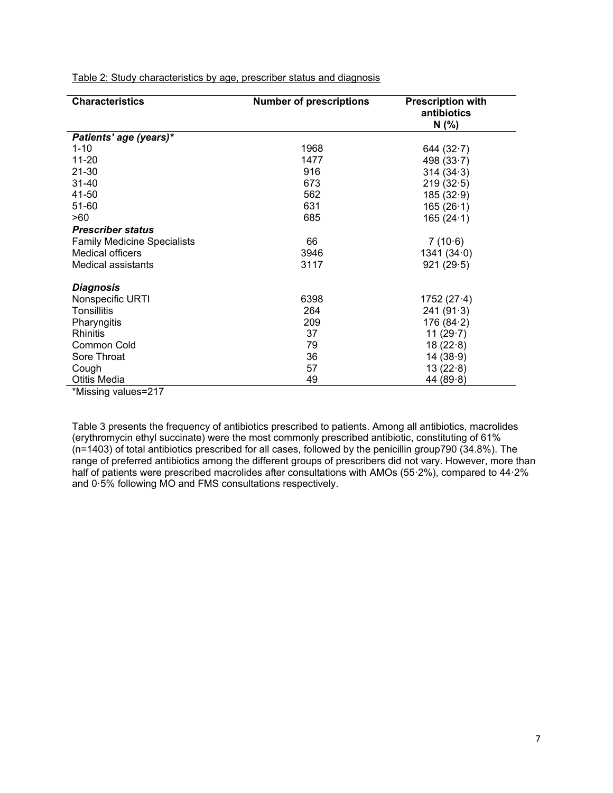| <b>Characteristics</b>             | <b>Number of prescriptions</b> | <b>Prescription with</b><br>antibiotics<br>N(%) |
|------------------------------------|--------------------------------|-------------------------------------------------|
| Patients' age (years)*             |                                |                                                 |
| $1 - 10$                           | 1968                           | 644 $(32.7)$                                    |
| 11-20                              | 1477                           | 498 $(33.7)$                                    |
| 21-30                              | 916                            | 314(34.3)                                       |
| 31-40                              | 673                            | 219(32.5)                                       |
| 41-50                              | 562                            | 185(32.9)                                       |
| 51-60                              | 631                            | 165(26.1)                                       |
| >60                                | 685                            | 165(24.1)                                       |
| <b>Prescriber status</b>           |                                |                                                 |
| <b>Family Medicine Specialists</b> | 66                             | 7(10.6)                                         |
| Medical officers                   | 3946                           | 1341(34.0)                                      |
| Medical assistants                 | 3117                           | 921(29.5)                                       |
| <b>Diagnosis</b>                   |                                |                                                 |
| Nonspecific URTI                   | 6398                           | 1752 $(27.4)$                                   |
| <b>Tonsillitis</b>                 | 264                            | 241(91.3)                                       |
| Pharyngitis                        | 209                            | 176(84.2)                                       |
| <b>Rhinitis</b>                    | 37                             | 11 $(29.7)$                                     |
| Common Cold                        | 79                             | 18(22.8)                                        |
| Sore Throat                        | 36                             | 14(38.9)                                        |
| Cough                              | 57                             | 13(22.8)                                        |
| <b>Otitis Media</b>                | 49                             | 44 $(89.8)$                                     |

Table 2: Study characteristics by age, prescriber status and diagnosis

\*Missing values=217

Table 3 presents the frequency of antibiotics prescribed to patients. Among all antibiotics, macrolides (erythromycin ethyl succinate) were the most commonly prescribed antibiotic, constituting of 61% (n=1403) of total antibiotics prescribed for all cases, followed by the penicillin group790 (34.8%). The range of preferred antibiotics among the different groups of prescribers did not vary. However, more than half of patients were prescribed macrolides after consultations with AMOs (55.2%), compared to 44.2% and 0·5% following MO and FMS consultations respectively.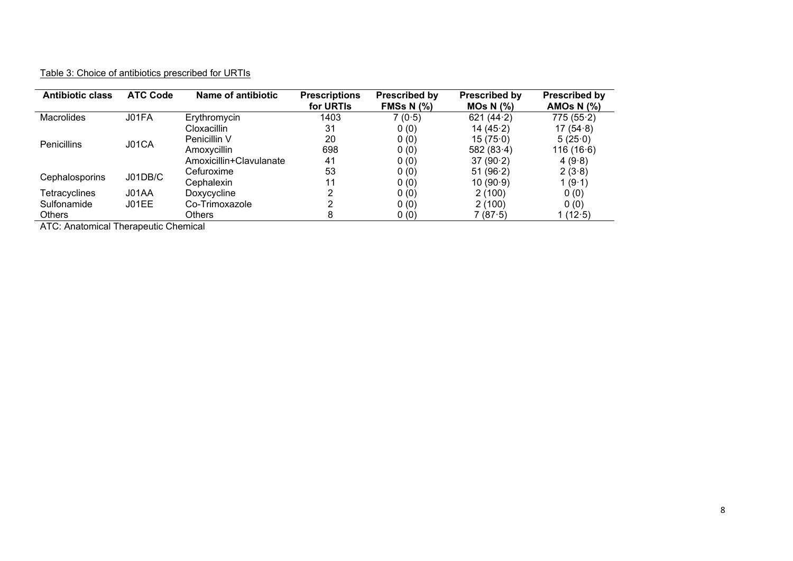# Table 3: Choice of antibiotics prescribed for URTIs

| <b>Antibiotic class</b> | <b>ATC Code</b> | Name of antibiotic      | <b>Prescriptions</b><br>for URTIs | <b>Prescribed by</b><br>FMSs N $(%)$ | <b>Prescribed by</b><br>$MOs N$ $(\%)$ | <b>Prescribed by</b><br>AMOS N $(%)$ |
|-------------------------|-----------------|-------------------------|-----------------------------------|--------------------------------------|----------------------------------------|--------------------------------------|
| <b>Macrolides</b>       | J01FA           | Erythromycin            | 1403                              | 7(0.5)                               | 621 $(44.2)$                           | 775(55.2)                            |
|                         |                 | Cloxacillin             | 31                                | 0(0)                                 | 14 $(45.2)$                            | 17 $(54.8)$                          |
| <b>Penicillins</b>      | J01CA           | Penicillin V            | 20                                | 0(0)                                 | 15(75.0)                               | 5(25.0)                              |
|                         |                 | Amoxycillin             | 698                               | 0(0)                                 | 582 $(83.4)$                           | 116(16.6)                            |
|                         |                 | Amoxicillin+Clavulanate | 41                                | 0(0)                                 | 37(90.2)                               | 4 $(9.8)$                            |
| Cephalosporins          | J01DB/C         | Cefuroxime              | 53                                | 0(0)                                 | 51 $(96.2)$                            | 2(3.8)                               |
|                         |                 | Cephalexin              | 11                                | 0(0)                                 | 10(90.9)                               | 1(9.1)                               |
| <b>Tetracyclines</b>    | J01AA           | Doxycycline             | າ                                 | 0(0)                                 | 2(100)                                 | 0(0)                                 |
| Sulfonamide             | J01EE           | Co-Trimoxazole          | ົ                                 | 0(0)                                 | 2(100)                                 | 0(0)                                 |
| <b>Others</b>           |                 | Others                  | 8                                 | 0(0)                                 | 7(87.5)                                | 1(12.5)                              |

ATC: Anatomical Therapeutic Chemical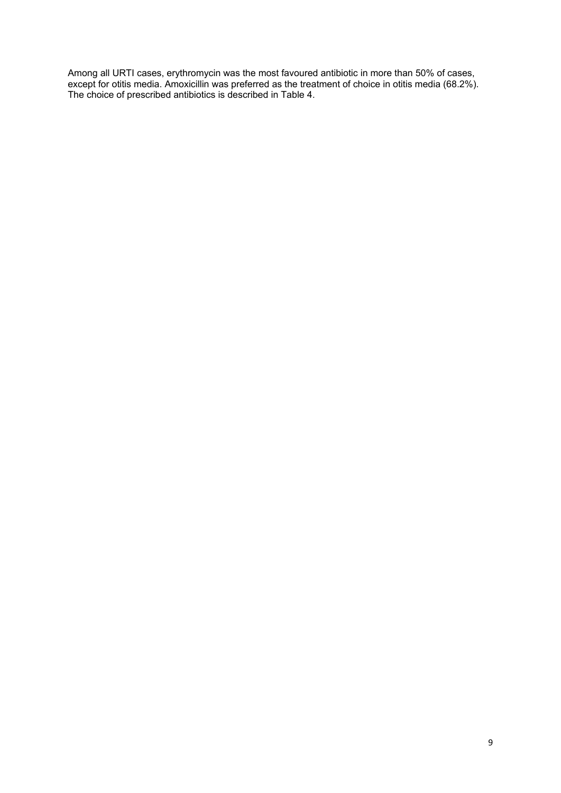Among all URTI cases, erythromycin was the most favoured antibiotic in more than 50% of cases, except for otitis media. Amoxicillin was preferred as the treatment of choice in otitis media (68.2%). The choice of prescribed antibiotics is described in Table 4.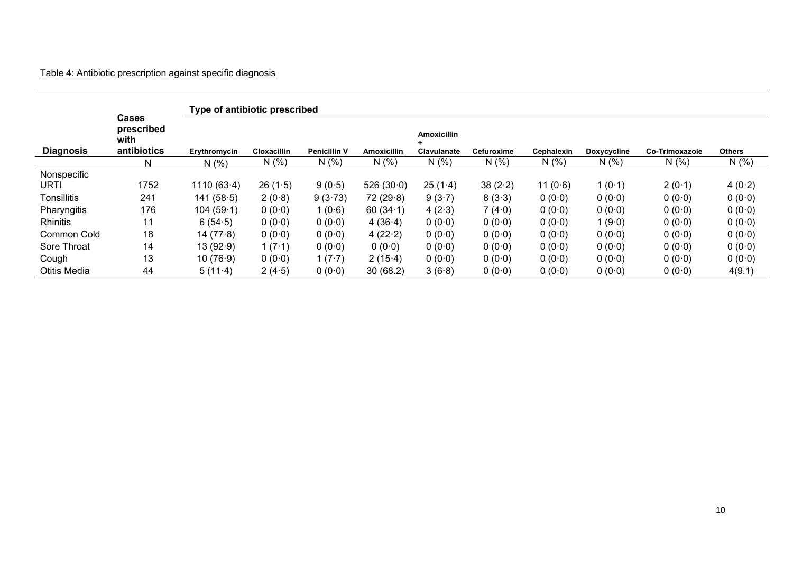|                  |                                                   | Type of antibiotic prescribed |                    |                     |                    |                                          |            |            |                    |                       |               |
|------------------|---------------------------------------------------|-------------------------------|--------------------|---------------------|--------------------|------------------------------------------|------------|------------|--------------------|-----------------------|---------------|
| <b>Diagnosis</b> | <b>Cases</b><br>prescribed<br>with<br>antibiotics | Erythromycin                  | <b>Cloxacillin</b> | <b>Penicillin V</b> | <b>Amoxicillin</b> | <b>Amoxicillin</b><br><b>Clavulanate</b> | Cefuroxime | Cephalexin | <b>Doxycycline</b> | <b>Co-Trimoxazole</b> | <b>Others</b> |
|                  | N                                                 | N(%                           | N(%                | N(%                 | N(%                | N(% )                                    | N(%        | N(% )      | N(% )              | N(% )                 | N(% )         |
| Nonspecific      |                                                   |                               |                    |                     |                    |                                          |            |            |                    |                       |               |
| URTI             | 1752                                              | 1110 $(63.4)$                 | 26(1.5)            | 9(0.5)              | 526(30.0)          | 25(1.4)                                  | 38(2.2)    | 11 $(0.6)$ | 1(0.1)             | 2(0.1)                | 4 $(0.2)$     |
| Tonsillitis      | 241                                               | 141(58.5)                     | 2(0.8)             | 9(3.73)             | 72(29.8)           | 9(3.7)                                   | 8(3.3)     | 0(0.0)     | 0(0.0)             | 0(0.0)                | 0(0.0)        |
| Pharyngitis      | 176                                               | 104(59.1)                     | 0(0.0)             | 1(0.6)              | 60 $(34.1)$        | 4 $(2.3)$                                | 7(4.0)     | 0(0.0)     | 0(0.0)             | 0(0.0)                | 0(0.0)        |
| <b>Rhinitis</b>  | 11                                                | 6(54.5)                       | 0(0.0)             | 0(0.0)              | 4 $(36.4)$         | 0(0.0)                                   | 0(0.0)     | 0(0.0)     | 1(9.0)             | 0(0.0)                | 0(0.0)        |
| Common Cold      | 18                                                | 14 $(77.8)$                   | 0(0.0)             | 0(0.0)              | 4 $(22.2)$         | 0(0.0)                                   | 0(0.0)     | 0(0.0)     | 0(0.0)             | 0(0.0)                | 0(0.0)        |
| Sore Throat      | 14                                                | 13(92.9)                      | 1 $(7.1)$          | 0(0.0)              | 0(0.0)             | 0(0.0)                                   | 0(0.0)     | 0(0.0)     | 0(0.0)             | 0(0.0)                | 0(0.0)        |
| Cough            | 13                                                | 10(76.9)                      | 0(0.0)             | 1 $(7.7)$           | 2(15.4)            | 0(0.0)                                   | 0(0.0)     | 0(0.0)     | 0(0.0)             | 0(0.0)                | 0(0.0)        |
| Otitis Media     | 44                                                | 5(11.4)                       | 2(4.5)             | 0(0.0)              | 30(68.2)           | 3(6.8)                                   | 0(0.0)     | 0(0.0)     | 0(0.0)             | 0(0.0)                | 4(9.1)        |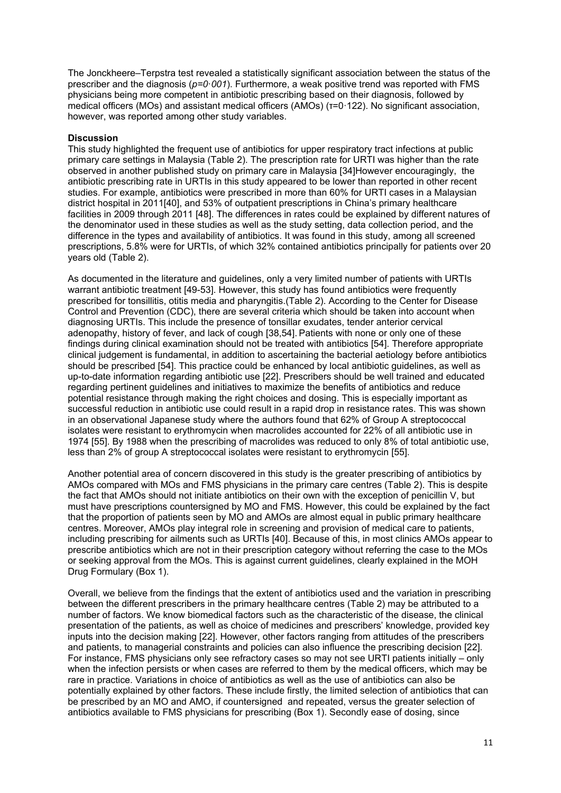The Jonckheere–Terpstra test revealed a statistically significant association between the status of the prescriber and the diagnosis (*p=0*·*001*). Furthermore, a weak positive trend was reported with FMS physicians being more competent in antibiotic prescribing based on their diagnosis, followed by medical officers (MOs) and assistant medical officers (AMOs) (τ=0·122). No significant association, however, was reported among other study variables.

#### **Discussion**

This study highlighted the frequent use of antibiotics for upper respiratory tract infections at public primary care settings in Malaysia (Table 2). The prescription rate for URTI was higher than the rate observed in another published study on primary care in Malaysia [34]However encouragingly, the antibiotic prescribing rate in URTIs in this study appeared to be lower than reported in other recent studies. For example, antibiotics were prescribed in more than 60% for URTI cases in a Malaysian district hospital in 2011[\[40\]](#page-14-7), and 53% of outpatient prescriptions in China's primary healthcare facilities in 2009 through 2011 [48]. The differences in rates could be explained by different natures of the denominator used in these studies as well as the study setting, data collection period, and the difference in the types and availability of antibiotics. It was found in this study, among all screened prescriptions, 5.8% were for URTIs, of which 32% contained antibiotics principally for patients over 20 years old (Table 2).

As documented in the literature and guidelines, only a very limited number of patients with URTIs warrant antibiotic treatment [49-53]. However, this study has found antibiotics were frequently prescribed for tonsillitis, otitis media and pharyngitis.(Table 2). According to the Center for Disease Control and Prevention (CDC), there are several criteria which should be taken into account when diagnosing URTIs. This include the presence of tonsillar exudates, tender anterior cervical adenopathy, history of fever, and lack of cough [38,54]. Patients with none or only one of these findings during clinical examination should not be treated with antibiotics [54]. Therefore appropriate clinical judgement is fundamental, in addition to ascertaining the bacterial aetiology before antibiotics should be prescribed [54]. This practice could be enhanced by local antibiotic guidelines, as well as up-to-date information regarding antibiotic use [\[22\]](#page-14-8). Prescribers should be well trained and educated regarding pertinent guidelines and initiatives to maximize the benefits of antibiotics and reduce potential resistance through making the right choices and dosing. This is especially important as successful reduction in antibiotic use could result in a rapid drop in resistance rates. This was shown in an observational Japanese study where the authors found that 62% of Group A streptococcal isolates were resistant to erythromycin when macrolides accounted for 22% of all antibiotic use in 1974 [55]. By 1988 when the prescribing of macrolides was reduced to only 8% of total antibiotic use, less than 2% of group A streptococcal isolates were resistant to erythromycin [55].

Another potential area of concern discovered in this study is the greater prescribing of antibiotics by AMOs compared with MOs and FMS physicians in the primary care centres (Table 2). This is despite the fact that AMOs should not initiate antibiotics on their own with the exception of penicillin V, but must have prescriptions countersigned by MO and FMS. However, this could be explained by the fact that the proportion of patients seen by MO and AMOs are almost equal in public primary healthcare centres. Moreover, AMOs play integral role in screening and provision of medical care to patients, including prescribing for ailments such as URTIs [\[40\]](#page-14-7). Because of this, in most clinics AMOs appear to prescribe antibiotics which are not in their prescription category without referring the case to the MOs or seeking approval from the MOs. This is against current guidelines, clearly explained in the MOH Drug Formulary (Box 1).

Overall, we believe from the findings that the extent of antibiotics used and the variation in prescribing between the different prescribers in the primary healthcare centres (Table 2) may be attributed to a number of factors. We know biomedical factors such as the characteristic of the disease, the clinical presentation of the patients, as well as choice of medicines and prescribers' knowledge, provided key inputs into the decision making [\[22\]](#page-14-8). However, other factors ranging from attitudes of the prescribers and patients, to managerial constraints and policies can also influence the prescribing decision [\[22\]](#page-14-8). For instance, FMS physicians only see refractory cases so may not see URTI patients initially – only when the infection persists or when cases are referred to them by the medical officers, which may be rare in practice. Variations in choice of antibiotics as well as the use of antibiotics can also be potentially explained by other factors. These include firstly, the limited selection of antibiotics that can be prescribed by an MO and AMO, if countersigned and repeated, versus the greater selection of antibiotics available to FMS physicians for prescribing (Box 1). Secondly ease of dosing, since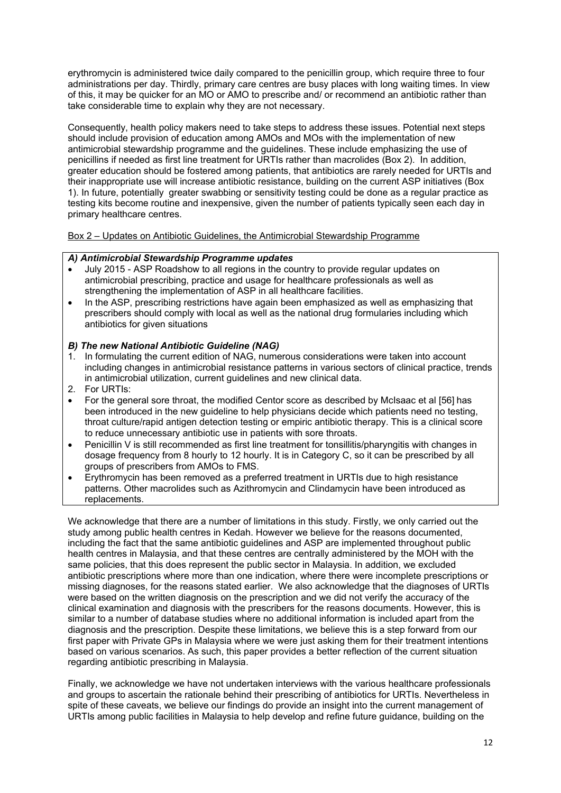erythromycin is administered twice daily compared to the penicillin group, which require three to four administrations per day. Thirdly, primary care centres are busy places with long waiting times. In view of this, it may be quicker for an MO or AMO to prescribe and/ or recommend an antibiotic rather than take considerable time to explain why they are not necessary.

Consequently, health policy makers need to take steps to address these issues. Potential next steps should include provision of education among AMOs and MOs with the implementation of new antimicrobial stewardship programme and the guidelines. These include emphasizing the use of penicillins if needed as first line treatment for URTIs rather than macrolides (Box 2). In addition, greater education should be fostered among patients, that antibiotics are rarely needed for URTIs and their inappropriate use will increase antibiotic resistance, building on the current ASP initiatives (Box 1). In future, potentially greater swabbing or sensitivity testing could be done as a regular practice as testing kits become routine and inexpensive, given the number of patients typically seen each day in primary healthcare centres.

Box 2 – Updates on Antibiotic Guidelines, the Antimicrobial Stewardship Programme

## *A) Antimicrobial Stewardship Programme updates*

- July 2015 ASP Roadshow to all regions in the country to provide regular updates on antimicrobial prescribing, practice and usage for healthcare professionals as well as strengthening the implementation of ASP in all healthcare facilities.
- In the ASP, prescribing restrictions have again been emphasized as well as emphasizing that prescribers should comply with local as well as the national drug formularies including which antibiotics for given situations

## *B) The new National Antibiotic Guideline (NAG)*

- 1. In formulating the current edition of NAG, numerous considerations were taken into account including changes in antimicrobial resistance patterns in various sectors of clinical practice, trends in antimicrobial utilization, current guidelines and new clinical data.
- 2. For URTIs:
- For the general sore throat, the modified Centor score as described by McIsaac et al [56] has been introduced in the new guideline to help physicians decide which patients need no testing, throat culture/rapid antigen detection testing or empiric antibiotic therapy. This is a clinical score to reduce unnecessary antibiotic use in patients with sore throats.
- Penicillin V is still recommended as first line treatment for tonsillitis/pharyngitis with changes in dosage frequency from 8 hourly to 12 hourly. It is in Category C, so it can be prescribed by all groups of prescribers from AMOs to FMS.
- Erythromycin has been removed as a preferred treatment in URTIs due to high resistance patterns. Other macrolides such as Azithromycin and Clindamycin have been introduced as replacements.

We acknowledge that there are a number of limitations in this study. Firstly, we only carried out the study among public health centres in Kedah. However we believe for the reasons documented, including the fact that the same antibiotic guidelines and ASP are implemented throughout public health centres in Malaysia, and that these centres are centrally administered by the MOH with the same policies, that this does represent the public sector in Malaysia. In addition, we excluded antibiotic prescriptions where more than one indication, where there were incomplete prescriptions or missing diagnoses, for the reasons stated earlier. We also acknowledge that the diagnoses of URTIs were based on the written diagnosis on the prescription and we did not verify the accuracy of the clinical examination and diagnosis with the prescribers for the reasons documents. However, this is similar to a number of database studies where no additional information is included apart from the diagnosis and the prescription. Despite these limitations, we believe this is a step forward from our first paper with Private GPs in Malaysia where we were just asking them for their treatment intentions based on various scenarios. As such, this paper provides a better reflection of the current situation regarding antibiotic prescribing in Malaysia.

Finally, we acknowledge we have not undertaken interviews with the various healthcare professionals and groups to ascertain the rationale behind their prescribing of antibiotics for URTIs. Nevertheless in spite of these caveats, we believe our findings do provide an insight into the current management of URTIs among public facilities in Malaysia to help develop and refine future guidance, building on the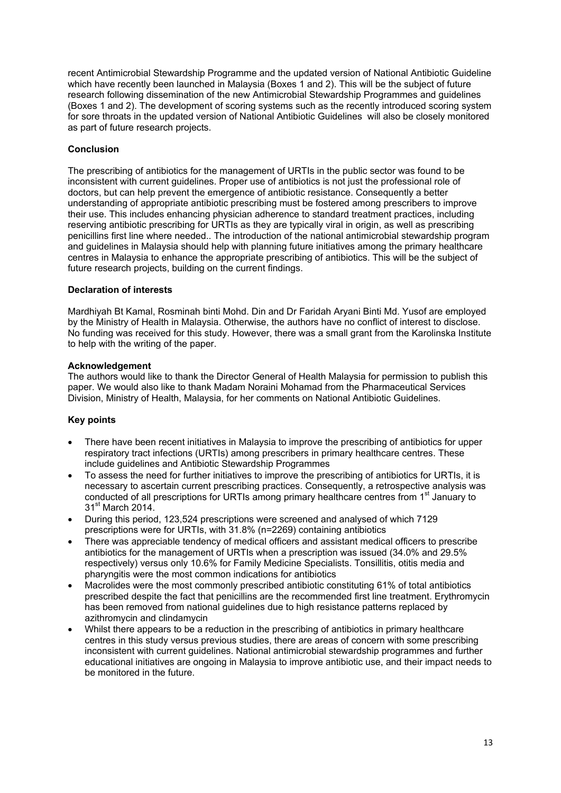recent Antimicrobial Stewardship Programme and the updated version of National Antibiotic Guideline which have recently been launched in Malaysia (Boxes 1 and 2). This will be the subject of future research following dissemination of the new Antimicrobial Stewardship Programmes and guidelines (Boxes 1 and 2). The development of scoring systems such as the recently introduced scoring system for sore throats in the updated version of National Antibiotic Guidelines will also be closely monitored as part of future research projects.

## **Conclusion**

The prescribing of antibiotics for the management of URTIs in the public sector was found to be inconsistent with current guidelines. Proper use of antibiotics is not just the professional role of doctors, but can help prevent the emergence of antibiotic resistance. Consequently a better understanding of appropriate antibiotic prescribing must be fostered among prescribers to improve their use. This includes enhancing physician adherence to standard treatment practices, including reserving antibiotic prescribing for URTIs as they are typically viral in origin, as well as prescribing penicillins first line where needed.. The introduction of the national antimicrobial stewardship program and guidelines in Malaysia should help with planning future initiatives among the primary healthcare centres in Malaysia to enhance the appropriate prescribing of antibiotics. This will be the subject of future research projects, building on the current findings.

## **Declaration of interests**

Mardhiyah Bt Kamal, Rosminah binti Mohd. Din and Dr Faridah Aryani Binti Md. Yusof are employed by the Ministry of Health in Malaysia. Otherwise, the authors have no conflict of interest to disclose. No funding was received for this study. However, there was a small grant from the Karolinska Institute to help with the writing of the paper.

## **Acknowledgement**

The authors would like to thank the Director General of Health Malaysia for permission to publish this paper. We would also like to thank Madam Noraini Mohamad from the Pharmaceutical Services Division, Ministry of Health, Malaysia, for her comments on National Antibiotic Guidelines.

## **Key points**

- There have been recent initiatives in Malaysia to improve the prescribing of antibiotics for upper respiratory tract infections (URTIs) among prescribers in primary healthcare centres. These include guidelines and Antibiotic Stewardship Programmes
- To assess the need for further initiatives to improve the prescribing of antibiotics for URTIs, it is necessary to ascertain current prescribing practices. Consequently, a retrospective analysis was conducted of all prescriptions for URTIs among primary healthcare centres from 1<sup>st</sup> January to 31<sup>st</sup> March 2014.
- During this period, 123,524 prescriptions were screened and analysed of which 7129 prescriptions were for URTIs, with 31.8% (n=2269) containing antibiotics
- There was appreciable tendency of medical officers and assistant medical officers to prescribe antibiotics for the management of URTIs when a prescription was issued (34.0% and 29.5% respectively) versus only 10.6% for Family Medicine Specialists. Tonsillitis, otitis media and pharyngitis were the most common indications for antibiotics
- Macrolides were the most commonly prescribed antibiotic constituting 61% of total antibiotics prescribed despite the fact that penicillins are the recommended first line treatment. Erythromycin has been removed from national guidelines due to high resistance patterns replaced by azithromycin and clindamycin
- Whilst there appears to be a reduction in the prescribing of antibiotics in primary healthcare centres in this study versus previous studies, there are areas of concern with some prescribing inconsistent with current guidelines. National antimicrobial stewardship programmes and further educational initiatives are ongoing in Malaysia to improve antibiotic use, and their impact needs to be monitored in the future.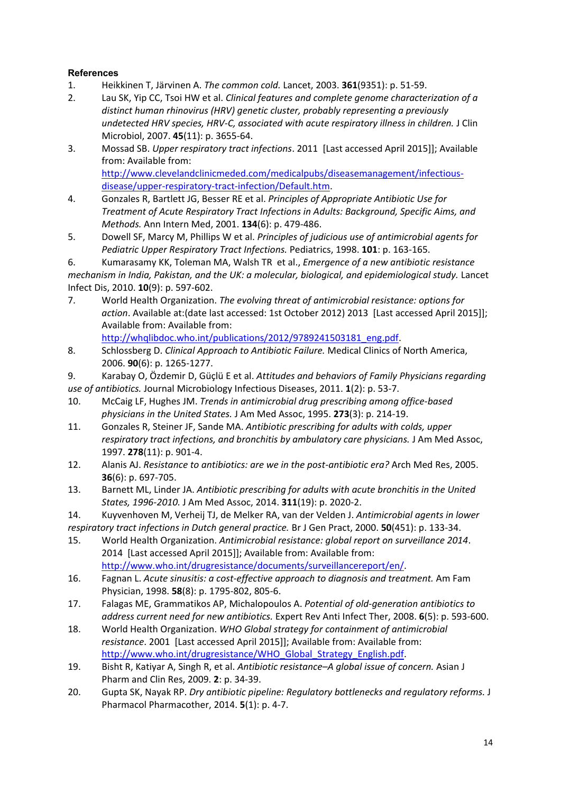# <span id="page-13-1"></span><span id="page-13-0"></span>**References**

- 1. Heikkinen T, Järvinen A. *The common cold.* Lancet, 2003. **361**(9351): p. 51-59.
- <span id="page-13-2"></span>2. Lau SK, [Yip CC,](http://www.ncbi.nlm.nih.gov/pubmed/?term=Yip%20CC%5BAuthor%5D&cauthor=true&cauthor_uid=17804649) [Tsoi HW](http://www.ncbi.nlm.nih.gov/pubmed/?term=Tsoi%20HW%5BAuthor%5D&cauthor=true&cauthor_uid=17804649) et al. *Clinical features and complete genome characterization of a distinct human rhinovirus (HRV) genetic cluster, probably representing a previously undetected HRV species, HRV-C, associated with acute respiratory illness in children.* J Clin Microbiol, 2007. **45**(11): p. 3655-64.
- <span id="page-13-3"></span>3. Mossad SB. *Upper respiratory tract infections*. 2011 [Last accessed April 2015]]; Available from: Available from: [http://www.clevelandclinicmeded.com/medicalpubs/diseasemanagement/infectious](http://www.clevelandclinicmeded.com/medicalpubs/diseasemanagement/infectious-disease/upper-respiratory-tract-infection/Default.htm)[disease/upper-respiratory-tract-infection/Default.htm.](http://www.clevelandclinicmeded.com/medicalpubs/diseasemanagement/infectious-disease/upper-respiratory-tract-infection/Default.htm)
- 4. Gonzales R, [Bartlett JG,](http://www.ncbi.nlm.nih.gov/pubmed/?term=Bartlett%20JG%5BAuthor%5D&cauthor=true&cauthor_uid=11255524) [Besser RE](http://www.ncbi.nlm.nih.gov/pubmed/?term=Besser%20RE%5BAuthor%5D&cauthor=true&cauthor_uid=11255524) et al. *Principles of Appropriate Antibiotic Use for Treatment of Acute Respiratory Tract Infections in Adults: Background, Specific Aims, and Methods.* Ann Intern Med, 2001. **134**(6): p. 479-486.
- 5. Dowell SF, Marcy M, Phillips W et al. *Principles of judicious use of antimicrobial agents for Pediatric Upper Respiratory Tract Infections.* Pediatrics, 1998. **101**: p. 163-165.
- <span id="page-13-12"></span>6. Kumarasamy KK, Toleman MA, Walsh TR et al., *Emergence of a new antibiotic resistance*

*mechanism in India, Pakistan, and the UK: a molecular, biological, and epidemiological study.* Lancet Infect Dis, 2010. **10**(9): p. 597-602.

<span id="page-13-4"></span>7. World Health Organization. *The evolving threat of antimicrobial resistance: options for action*. Available at:(date last accessed: 1st October 2012) 2013 [Last accessed April 2015]]; Available from: Available from:

[http://whqlibdoc.who.int/publications/2012/9789241503181\\_eng.pdf.](http://whqlibdoc.who.int/publications/2012/9789241503181_eng.pdf)

- <span id="page-13-6"></span><span id="page-13-5"></span>8. Schlossberg D. *Clinical Approach to Antibiotic Failure.* Medical Clinics of North America, 2006. **90**(6): p. 1265-1277.
- <span id="page-13-7"></span>9. Karabay O, Özdemir D, Güçlü E et al. *Attitudes and behaviors of Family Physicians regarding use of antibiotics.* Journal Microbiology Infectious Diseases, 2011. **1**(2): p. 53-7.
- 10. McCaig LF, Hughes JM. *Trends in antimicrobial drug prescribing among office-based physicians in the United States.* J Am Med Assoc, 1995. **273**(3): p. 214-19.
- 11. Gonzales R, Steiner JF, Sande MA. *Antibiotic prescribing for adults with colds, upper respiratory tract infections, and bronchitis by ambulatory care physicians.* J Am Med Assoc, 1997. **278**(11): p. 901-4.
- 12. Alanis AJ. *Resistance to antibiotics: are we in the post-antibiotic era?* Arch Med Res, 2005. **36**(6): p. 697-705.
- <span id="page-13-8"></span>13. Barnett ML, Linder JA. *Antibiotic prescribing for adults with acute bronchitis in the United States, 1996-2010.* J Am Med Assoc, 2014. **311**(19): p. 2020-2.
- 14. Kuyvenhoven M[, Verheij TJ,](http://www.ncbi.nlm.nih.gov/pubmed/?term=Verheij%20TJ%5BAuthor%5D&cauthor=true&cauthor_uid=10750213) [de Melker RA,](http://www.ncbi.nlm.nih.gov/pubmed/?term=de%20Melker%20RA%5BAuthor%5D&cauthor=true&cauthor_uid=10750213) [van der Velden J.](http://www.ncbi.nlm.nih.gov/pubmed/?term=van%20der%20Velden%20J%5BAuthor%5D&cauthor=true&cauthor_uid=10750213) *Antimicrobial agents in lower*

*respiratory tract infections in Dutch general practice.* Br J Gen Pract, 2000. **50**(451): p. 133-34.

- <span id="page-13-10"></span>15. World Health Organization. *Antimicrobial resistance: global report on surveillance 2014*. 2014 [Last accessed April 2015]]; Available from: Available from: [http://www.who.int/drugresistance/documents/surveillancereport/en/.](http://www.who.int/drugresistance/documents/surveillancereport/en/)
- 16. Fagnan L. *Acute sinusitis: a cost-effective approach to diagnosis and treatment.* Am Fam Physician, 1998. **58**(8): p. 1795-802, 805-6.
- 17. Falagas ME, Grammatikos AP, Michalopoulos A. *Potential of old-generation antibiotics to address current need for new antibiotics.* Expert Rev Anti Infect Ther, 2008. **6**(5): p. 593-600.
- <span id="page-13-11"></span><span id="page-13-9"></span>18. World Health Organization. *WHO Global strategy for containment of antimicrobial resistance*. 2001 [Last accessed April 2015]]; Available from: Available from: [http://www.who.int/drugresistance/WHO\\_Global\\_Strategy\\_English.pdf.](http://www.who.int/drugresistance/WHO_Global_Strategy_English.pdf)
- 19. Bisht R, Katiyar A, Singh R, et al. *Antibiotic resistance–A global issue of concern.* Asian J Pharm and Clin Res, 2009. **2**: p. 34-39.
- 20. Gupta SK, Nayak RP. *Dry antibiotic pipeline: Regulatory bottlenecks and regulatory reforms.* J Pharmacol Pharmacother, 2014. **5**(1): p. 4-7.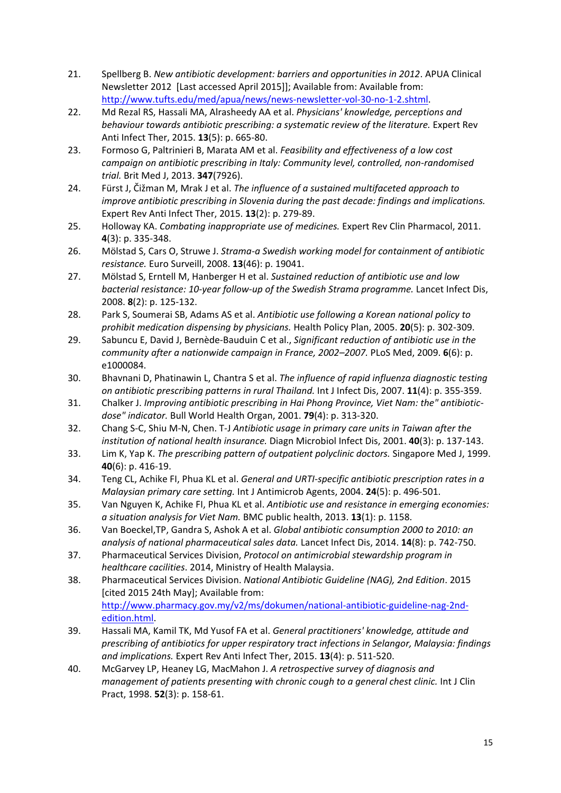- <span id="page-14-1"></span><span id="page-14-0"></span>21. Spellberg B. *New antibiotic development: barriers and opportunities in 2012*. APUA Clinical Newsletter 2012 [Last accessed April 2015]]; Available from: Available from: [http://www.tufts.edu/med/apua/news/news-newsletter-vol-30-no-1-2.shtml.](http://www.tufts.edu/med/apua/news/news-newsletter-vol-30-no-1-2.shtml)
- <span id="page-14-8"></span>22. Md Rezal RS, [Hassali MA,](http://www.ncbi.nlm.nih.gov/pubmed/?term=Hassali%20MA%5BAuthor%5D&cauthor=true&cauthor_uid=25813839) [Alrasheedy AA](http://www.ncbi.nlm.nih.gov/pubmed/?term=Alrasheedy%20AA%5BAuthor%5D&cauthor=true&cauthor_uid=25813839) et al. *Physicians' knowledge, perceptions and behaviour towards antibiotic prescribing: a systematic review of the literature.* Expert Rev Anti Infect Ther, 2015. **13**(5): p. 665-80.
- 23. Formoso G, [Paltrinieri B,](http://www.ncbi.nlm.nih.gov/pubmed/?term=Paltrinieri%20B%5BAuthor%5D&cauthor=true&cauthor_uid=24030722) [Marata AM](http://www.ncbi.nlm.nih.gov/pubmed/?term=Marata%20AM%5BAuthor%5D&cauthor=true&cauthor_uid=24030722) et al. *Feasibility and effectiveness of a low cost campaign on antibiotic prescribing in Italy: Community level, controlled, non-randomised trial.* Brit Med J, 2013. **347**(7926).
- 24. Fürst J, [Čižman M](http://www.ncbi.nlm.nih.gov/pubmed/?term=%C4%8Ci%C5%BEman%20M%5BAuthor%5D&cauthor=true&cauthor_uid=25495147)[, Mrak J](http://www.ncbi.nlm.nih.gov/pubmed/?term=Mrak%20J%5BAuthor%5D&cauthor=true&cauthor_uid=25495147) et al. *The influence of a sustained multifaceted approach to improve antibiotic prescribing in Slovenia during the past decade: findings and implications.* Expert Rev Anti Infect Ther, 2015. **13**(2): p. 279-89.
- 25. Holloway KA. *Combating inappropriate use of medicines.* Expert Rev Clin Pharmacol, 2011. **4**(3): p. 335-348.
- 26. Mölstad S, Cars O, Struwe J. *Strama-a Swedish working model for containment of antibiotic resistance.* Euro Surveill, 2008. **13**(46): p. 19041.
- 27. Mölstad S, [Erntell M,](http://www.ncbi.nlm.nih.gov/pubmed/?term=Erntell%20M%5BAuthor%5D&cauthor=true&cauthor_uid=18222163) [Hanberger H](http://www.ncbi.nlm.nih.gov/pubmed/?term=Hanberger%20H%5BAuthor%5D&cauthor=true&cauthor_uid=18222163) et al. *Sustained reduction of antibiotic use and low bacterial resistance: 10-year follow-up of the Swedish Strama programme.* Lancet Infect Dis, 2008. **8**(2): p. 125-132.
- 28. Park S, [Soumerai SB,](http://www.ncbi.nlm.nih.gov/pubmed/?term=Soumerai%20SB%5BAuthor%5D&cauthor=true&cauthor_uid=16000369) [Adams AS](http://www.ncbi.nlm.nih.gov/pubmed/?term=Adams%20AS%5BAuthor%5D&cauthor=true&cauthor_uid=16000369) et al. *Antibiotic use following a Korean national policy to prohibit medication dispensing by physicians.* Health Policy Plan, 2005. **20**(5): p. 302-309.
- <span id="page-14-2"></span>29. Sabuncu E, [David J,](http://www.ncbi.nlm.nih.gov/pubmed/?term=David%20J%5BAuthor%5D&cauthor=true&cauthor_uid=19492093) [Bernède-Bauduin C](http://www.ncbi.nlm.nih.gov/pubmed/?term=Bern%C3%A8de-Bauduin%20C%5BAuthor%5D&cauthor=true&cauthor_uid=19492093) et al., *Significant reduction of antibiotic use in the community after a nationwide campaign in France, 2002–2007.* PLoS Med, 2009. **6**(6): p. e1000084.
- 30. Bhavnani D, [Phatinawin L,](http://www.ncbi.nlm.nih.gov/pubmed/?term=Phatinawin%20L%5BAuthor%5D&cauthor=true&cauthor_uid=17324602) [Chantra S](http://www.ncbi.nlm.nih.gov/pubmed/?term=Chantra%20S%5BAuthor%5D&cauthor=true&cauthor_uid=17324602) et al. *The influence of rapid influenza diagnostic testing on antibiotic prescribing patterns in rural Thailand.* Int J Infect Dis, 2007. **11**(4): p. 355-359.
- 31. Chalker J. *Improving antibiotic prescribing in Hai Phong Province, Viet Nam: the" antibioticdose" indicator.* Bull World Health Organ, 2001. **79**(4): p. 313-320.
- 32. Chang S-C, Shiu M-N, Chen. T-J *Antibiotic usage in primary care units in Taiwan after the institution of national health insurance.* Diagn Microbiol Infect Dis, 2001. **40**(3): p. 137-143.
- 33. Lim K, Yap K. *The prescribing pattern of outpatient polyclinic doctors.* Singapore Med J, 1999. **40**(6): p. 416-19.
- <span id="page-14-3"></span>34. Teng CL, [Achike FI,](http://www.ncbi.nlm.nih.gov/pubmed/?term=Achike%20FI%5BAuthor%5D&cauthor=true&cauthor_uid=15519484) [Phua KL](http://www.ncbi.nlm.nih.gov/pubmed/?term=Phua%20KL%5BAuthor%5D&cauthor=true&cauthor_uid=15519484) et al. *General and URTI-specific antibiotic prescription rates in a Malaysian primary care setting.* Int J Antimicrob Agents, 2004. **24**(5): p. 496-501.
- <span id="page-14-4"></span>35. Van Nguyen K, [Achike FI,](http://www.ncbi.nlm.nih.gov/pubmed/?term=Achike%20FI%5BAuthor%5D&cauthor=true&cauthor_uid=15519484) [Phua KL](http://www.ncbi.nlm.nih.gov/pubmed/?term=Phua%20KL%5BAuthor%5D&cauthor=true&cauthor_uid=15519484) et al. *Antibiotic use and resistance in emerging economies: a situation analysis for Viet Nam.* BMC public health, 2013. **13**(1): p. 1158.
- <span id="page-14-5"></span>36. Van Boeckel,TP[, Gandra S,](http://www.ncbi.nlm.nih.gov/pubmed/?term=Gandra%20S%5BAuthor%5D&cauthor=true&cauthor_uid=25022435) [Ashok A](http://www.ncbi.nlm.nih.gov/pubmed/?term=Ashok%20A%5BAuthor%5D&cauthor=true&cauthor_uid=25022435) et al. *Global antibiotic consumption 2000 to 2010: an analysis of national pharmaceutical sales data.* Lancet Infect Dis, 2014. **14**(8): p. 742-750.
- 37. Pharmaceutical Services Division, *Protocol on antimicrobial stewardship program in healthcare cacilities*. 2014, Ministry of Health Malaysia.
- <span id="page-14-6"></span>38. Pharmaceutical Services Division. *National Antibiotic Guideline (NAG), 2nd Edition*. 2015 [cited 2015 24th May]; Available from: [http://www.pharmacy.gov.my/v2/ms/dokumen/national-antibiotic-guideline-nag-2nd](http://www.pharmacy.gov.my/v2/ms/dokumen/national-antibiotic-guideline-nag-2nd-edition.html)[edition.html.](http://www.pharmacy.gov.my/v2/ms/dokumen/national-antibiotic-guideline-nag-2nd-edition.html)
- 39. Hassali MA, [Kamil TK,](http://www.ncbi.nlm.nih.gov/pubmed/?term=Kamil%20TK%5BAuthor%5D&cauthor=true&cauthor_uid=25704246) [Md Yusof FA](http://www.ncbi.nlm.nih.gov/pubmed/?term=Md%20Yusof%20FA%5BAuthor%5D&cauthor=true&cauthor_uid=25704246) et al. *General practitioners' knowledge, attitude and prescribing of antibiotics for upper respiratory tract infections in Selangor, Malaysia: findings and implications.* Expert Rev Anti Infect Ther, 2015. **13**(4): p. 511-520.
- <span id="page-14-7"></span>40. McGarvey LP, Heaney LG, MacMahon J. *A retrospective survey of diagnosis and management of patients presenting with chronic cough to a general chest clinic.* Int J Clin Pract, 1998. **52**(3): p. 158-61.